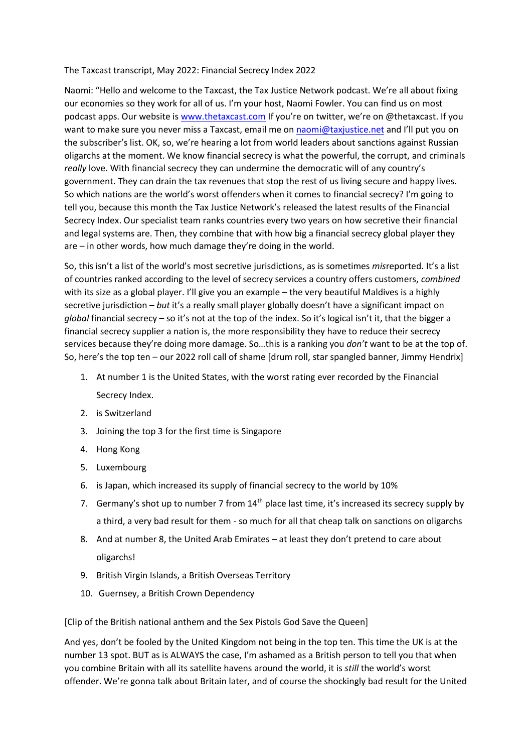## The Taxcast transcript, May 2022: Financial Secrecy Index 2022

Naomi: "Hello and welcome to the Taxcast, the Tax Justice Network podcast. We're all about fixing our economies so they work for all of us. I'm your host, Naomi Fowler. You can find us on most podcast apps. Our website is [www.thetaxcast.com](http://www.thetaxcast.com/) If you're on twitter, we're on @thetaxcast. If you want to make sure you never miss a Taxcast, email me on naomi@taxjustice.net and I'll put you on the subscriber's list. OK, so, we're hearing a lot from world leaders about sanctions against Russian oligarchs at the moment. We know financial secrecy is what the powerful, the corrupt, and criminals *really* love. With financial secrecy they can undermine the democratic will of any country's government. They can drain the tax revenues that stop the rest of us living secure and happy lives. So which nations are the world's worst offenders when it comes to financial secrecy? I'm going to tell you, because this month the Tax Justice Network's released the latest results of the Financial Secrecy Index. Our specialist team ranks countries every two years on how secretive their financial and legal systems are. Then, they combine that with how big a financial secrecy global player they are – in other words, how much damage they're doing in the world.

So, this isn't a list of the world's most secretive jurisdictions, as is sometimes *mis*reported. It's a list of countries ranked according to the level of secrecy services a country offers customers, *combined*  with its size as a global player. I'll give you an example – the very beautiful Maldives is a highly secretive jurisdiction – *but* it's a really small player globally doesn't have a significant impact on *global* financial secrecy – so it's not at the top of the index. So it's logical isn't it, that the bigger a financial secrecy supplier a nation is, the more responsibility they have to reduce their secrecy services because they're doing more damage. So…this is a ranking you *don't* want to be at the top of. So, here's the top ten – our 2022 roll call of shame [drum roll, star spangled banner, Jimmy Hendrix]

- 1. At number 1 is the United States, with the worst rating ever recorded by the Financial Secrecy Index.
- 2. is Switzerland
- 3. Joining the top 3 for the first time is Singapore
- 4. Hong Kong
- 5. Luxembourg
- 6. is Japan, which increased its supply of financial secrecy to the world by 10%
- 7. Germany's shot up to number 7 from 14<sup>th</sup> place last time, it's increased its secrecy supply by a third, a very bad result for them - so much for all that cheap talk on sanctions on oligarchs
- 8. And at number 8, the United Arab Emirates at least they don't pretend to care about oligarchs!
- 9. British Virgin Islands, a British Overseas Territory
- 10. Guernsey, a British Crown Dependency

[Clip of the British national anthem and the Sex Pistols God Save the Queen]

And yes, don't be fooled by the United Kingdom not being in the top ten. This time the UK is at the number 13 spot. BUT as is ALWAYS the case, I'm ashamed as a British person to tell you that when you combine Britain with all its satellite havens around the world, it is *still* the world's worst offender. We're gonna talk about Britain later, and of course the shockingly bad result for the United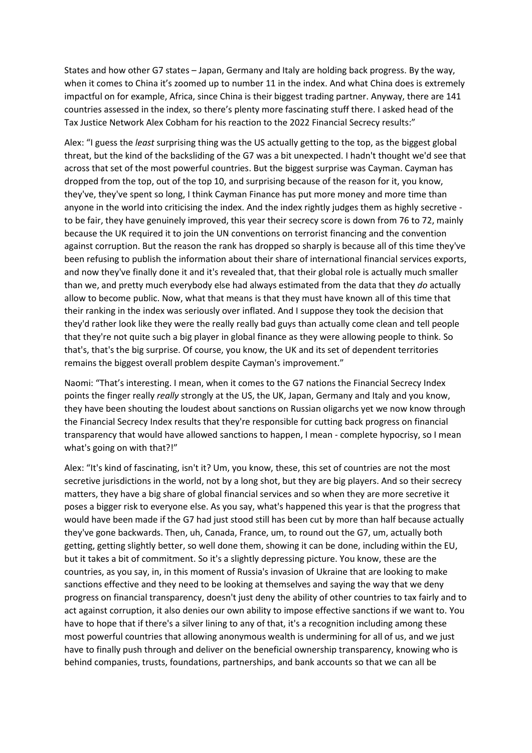States and how other G7 states – Japan, Germany and Italy are holding back progress. By the way, when it comes to China it's zoomed up to number 11 in the index. And what China does is extremely impactful on for example, Africa, since China is their biggest trading partner. Anyway, there are 141 countries assessed in the index, so there's plenty more fascinating stuff there. I asked head of the Tax Justice Network Alex Cobham for his reaction to the 2022 Financial Secrecy results:"

Alex: "I guess the *least* surprising thing was the US actually getting to the top, as the biggest global threat, but the kind of the backsliding of the G7 was a bit unexpected. I hadn't thought we'd see that across that set of the most powerful countries. But the biggest surprise was Cayman. Cayman has dropped from the top, out of the top 10, and surprising because of the reason for it, you know, they've, they've spent so long, I think Cayman Finance has put more money and more time than anyone in the world into criticising the index. And the index rightly judges them as highly secretive to be fair, they have genuinely improved, this year their secrecy score is down from 76 to 72, mainly because the UK required it to join the UN conventions on terrorist financing and the convention against corruption. But the reason the rank has dropped so sharply is because all of this time they've been refusing to publish the information about their share of international financial services exports, and now they've finally done it and it's revealed that, that their global role is actually much smaller than we, and pretty much everybody else had always estimated from the data that they *do* actually allow to become public. Now, what that means is that they must have known all of this time that their ranking in the index was seriously over inflated. And I suppose they took the decision that they'd rather look like they were the really really bad guys than actually come clean and tell people that they're not quite such a big player in global finance as they were allowing people to think. So that's, that's the big surprise. Of course, you know, the UK and its set of dependent territories remains the biggest overall problem despite Cayman's improvement."

Naomi: "That's interesting. I mean, when it comes to the G7 nations the Financial Secrecy Index points the finger really *really* strongly at the US, the UK, Japan, Germany and Italy and you know, they have been shouting the loudest about sanctions on Russian oligarchs yet we now know through the Financial Secrecy Index results that they're responsible for cutting back progress on financial transparency that would have allowed sanctions to happen, I mean - complete hypocrisy, so I mean what's going on with that?!"

Alex: "It's kind of fascinating, isn't it? Um, you know, these, this set of countries are not the most secretive jurisdictions in the world, not by a long shot, but they are big players. And so their secrecy matters, they have a big share of global financial services and so when they are more secretive it poses a bigger risk to everyone else. As you say, what's happened this year is that the progress that would have been made if the G7 had just stood still has been cut by more than half because actually they've gone backwards. Then, uh, Canada, France, um, to round out the G7, um, actually both getting, getting slightly better, so well done them, showing it can be done, including within the EU, but it takes a bit of commitment. So it's a slightly depressing picture. You know, these are the countries, as you say, in, in this moment of Russia's invasion of Ukraine that are looking to make sanctions effective and they need to be looking at themselves and saying the way that we deny progress on financial transparency, doesn't just deny the ability of other countries to tax fairly and to act against corruption, it also denies our own ability to impose effective sanctions if we want to. You have to hope that if there's a silver lining to any of that, it's a recognition including among these most powerful countries that allowing anonymous wealth is undermining for all of us, and we just have to finally push through and deliver on the beneficial ownership transparency, knowing who is behind companies, trusts, foundations, partnerships, and bank accounts so that we can all be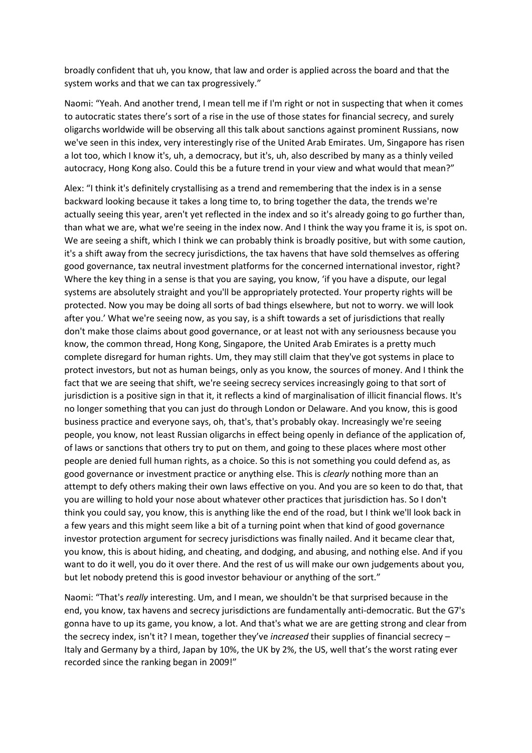broadly confident that uh, you know, that law and order is applied across the board and that the system works and that we can tax progressively."

Naomi: "Yeah. And another trend, I mean tell me if I'm right or not in suspecting that when it comes to autocratic states there's sort of a rise in the use of those states for financial secrecy, and surely oligarchs worldwide will be observing all this talk about sanctions against prominent Russians, now we've seen in this index, very interestingly rise of the United Arab Emirates. Um, Singapore has risen a lot too, which I know it's, uh, a democracy, but it's, uh, also described by many as a thinly veiled autocracy, Hong Kong also. Could this be a future trend in your view and what would that mean?"

Alex: "I think it's definitely crystallising as a trend and remembering that the index is in a sense backward looking because it takes a long time to, to bring together the data, the trends we're actually seeing this year, aren't yet reflected in the index and so it's already going to go further than, than what we are, what we're seeing in the index now. And I think the way you frame it is, is spot on. We are seeing a shift, which I think we can probably think is broadly positive, but with some caution, it's a shift away from the secrecy jurisdictions, the tax havens that have sold themselves as offering good governance, tax neutral investment platforms for the concerned international investor, right? Where the key thing in a sense is that you are saying, you know, 'if you have a dispute, our legal systems are absolutely straight and you'll be appropriately protected. Your property rights will be protected. Now you may be doing all sorts of bad things elsewhere, but not to worry. we will look after you.' What we're seeing now, as you say, is a shift towards a set of jurisdictions that really don't make those claims about good governance, or at least not with any seriousness because you know, the common thread, Hong Kong, Singapore, the United Arab Emirates is a pretty much complete disregard for human rights. Um, they may still claim that they've got systems in place to protect investors, but not as human beings, only as you know, the sources of money. And I think the fact that we are seeing that shift, we're seeing secrecy services increasingly going to that sort of jurisdiction is a positive sign in that it, it reflects a kind of marginalisation of illicit financial flows. It's no longer something that you can just do through London or Delaware. And you know, this is good business practice and everyone says, oh, that's, that's probably okay. Increasingly we're seeing people, you know, not least Russian oligarchs in effect being openly in defiance of the application of, of laws or sanctions that others try to put on them, and going to these places where most other people are denied full human rights, as a choice. So this is not something you could defend as, as good governance or investment practice or anything else. This is *clearly* nothing more than an attempt to defy others making their own laws effective on you. And you are so keen to do that, that you are willing to hold your nose about whatever other practices that jurisdiction has. So I don't think you could say, you know, this is anything like the end of the road, but I think we'll look back in a few years and this might seem like a bit of a turning point when that kind of good governance investor protection argument for secrecy jurisdictions was finally nailed. And it became clear that, you know, this is about hiding, and cheating, and dodging, and abusing, and nothing else. And if you want to do it well, you do it over there. And the rest of us will make our own judgements about you, but let nobody pretend this is good investor behaviour or anything of the sort."

Naomi: "That's *really* interesting. Um, and I mean, we shouldn't be that surprised because in the end, you know, tax havens and secrecy jurisdictions are fundamentally anti-democratic. But the G7's gonna have to up its game, you know, a lot. And that's what we are are getting strong and clear from the secrecy index, isn't it? I mean, together they've *increased* their supplies of financial secrecy – Italy and Germany by a third, Japan by 10%, the UK by 2%, the US, well that's the worst rating ever recorded since the ranking began in 2009!"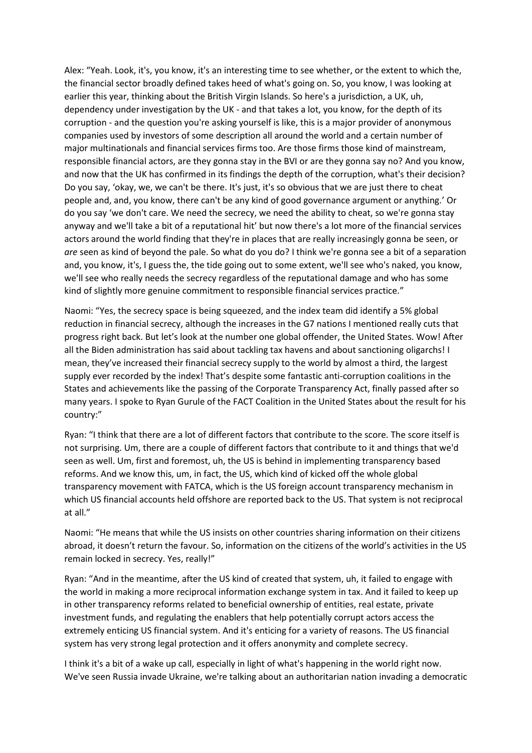Alex: "Yeah. Look, it's, you know, it's an interesting time to see whether, or the extent to which the, the financial sector broadly defined takes heed of what's going on. So, you know, I was looking at earlier this year, thinking about the British Virgin Islands. So here's a jurisdiction, a UK, uh, dependency under investigation by the UK - and that takes a lot, you know, for the depth of its corruption - and the question you're asking yourself is like, this is a major provider of anonymous companies used by investors of some description all around the world and a certain number of major multinationals and financial services firms too. Are those firms those kind of mainstream, responsible financial actors, are they gonna stay in the BVI or are they gonna say no? And you know, and now that the UK has confirmed in its findings the depth of the corruption, what's their decision? Do you say, 'okay, we, we can't be there. It's just, it's so obvious that we are just there to cheat people and, and, you know, there can't be any kind of good governance argument or anything.' Or do you say 'we don't care. We need the secrecy, we need the ability to cheat, so we're gonna stay anyway and we'll take a bit of a reputational hit' but now there's a lot more of the financial services actors around the world finding that they're in places that are really increasingly gonna be seen, or *are* seen as kind of beyond the pale. So what do you do? I think we're gonna see a bit of a separation and, you know, it's, I guess the, the tide going out to some extent, we'll see who's naked, you know, we'll see who really needs the secrecy regardless of the reputational damage and who has some kind of slightly more genuine commitment to responsible financial services practice."

Naomi: "Yes, the secrecy space is being squeezed, and the index team did identify a 5% global reduction in financial secrecy, although the increases in the G7 nations I mentioned really cuts that progress right back. But let's look at the number one global offender, the United States. Wow! After all the Biden administration has said about tackling tax havens and about sanctioning oligarchs! I mean, they've increased their financial secrecy supply to the world by almost a third, the largest supply ever recorded by the index! That's despite some fantastic anti-corruption coalitions in the States and achievements like the passing of the Corporate Transparency Act, finally passed after so many years. I spoke to Ryan Gurule of the FACT Coalition in the United States about the result for his country:"

Ryan: "I think that there are a lot of different factors that contribute to the score. The score itself is not surprising. Um, there are a couple of different factors that contribute to it and things that we'd seen as well. Um, first and foremost, uh, the US is behind in implementing transparency based reforms. And we know this, um, in fact, the US, which kind of kicked off the whole global transparency movement with FATCA, which is the US foreign account transparency mechanism in which US financial accounts held offshore are reported back to the US. That system is not reciprocal at all."

Naomi: "He means that while the US insists on other countries sharing information on their citizens abroad, it doesn't return the favour. So, information on the citizens of the world's activities in the US remain locked in secrecy. Yes, really!"

Ryan: "And in the meantime, after the US kind of created that system, uh, it failed to engage with the world in making a more reciprocal information exchange system in tax. And it failed to keep up in other transparency reforms related to beneficial ownership of entities, real estate, private investment funds, and regulating the enablers that help potentially corrupt actors access the extremely enticing US financial system. And it's enticing for a variety of reasons. The US financial system has very strong legal protection and it offers anonymity and complete secrecy.

I think it's a bit of a wake up call, especially in light of what's happening in the world right now. We've seen Russia invade Ukraine, we're talking about an authoritarian nation invading a democratic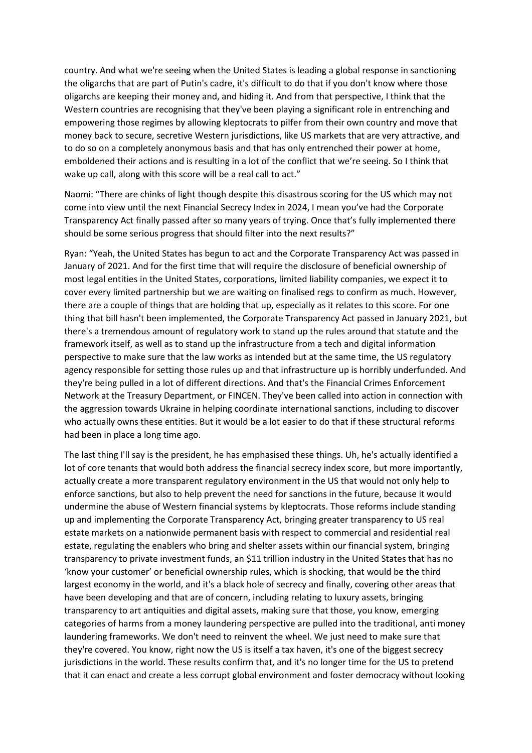country. And what we're seeing when the United States is leading a global response in sanctioning the oligarchs that are part of Putin's cadre, it's difficult to do that if you don't know where those oligarchs are keeping their money and, and hiding it. And from that perspective, I think that the Western countries are recognising that they've been playing a significant role in entrenching and empowering those regimes by allowing kleptocrats to pilfer from their own country and move that money back to secure, secretive Western jurisdictions, like US markets that are very attractive, and to do so on a completely anonymous basis and that has only entrenched their power at home, emboldened their actions and is resulting in a lot of the conflict that we're seeing. So I think that wake up call, along with this score will be a real call to act."

Naomi: "There are chinks of light though despite this disastrous scoring for the US which may not come into view until the next Financial Secrecy Index in 2024, I mean you've had the Corporate Transparency Act finally passed after so many years of trying. Once that's fully implemented there should be some serious progress that should filter into the next results?"

Ryan: "Yeah, the United States has begun to act and the Corporate Transparency Act was passed in January of 2021. And for the first time that will require the disclosure of beneficial ownership of most legal entities in the United States, corporations, limited liability companies, we expect it to cover every limited partnership but we are waiting on finalised regs to confirm as much. However, there are a couple of things that are holding that up, especially as it relates to this score. For one thing that bill hasn't been implemented, the Corporate Transparency Act passed in January 2021, but there's a tremendous amount of regulatory work to stand up the rules around that statute and the framework itself, as well as to stand up the infrastructure from a tech and digital information perspective to make sure that the law works as intended but at the same time, the US regulatory agency responsible for setting those rules up and that infrastructure up is horribly underfunded. And they're being pulled in a lot of different directions. And that's the Financial Crimes Enforcement Network at the Treasury Department, or FINCEN. They've been called into action in connection with the aggression towards Ukraine in helping coordinate international sanctions, including to discover who actually owns these entities. But it would be a lot easier to do that if these structural reforms had been in place a long time ago.

The last thing I'll say is the president, he has emphasised these things. Uh, he's actually identified a lot of core tenants that would both address the financial secrecy index score, but more importantly, actually create a more transparent regulatory environment in the US that would not only help to enforce sanctions, but also to help prevent the need for sanctions in the future, because it would undermine the abuse of Western financial systems by kleptocrats. Those reforms include standing up and implementing the Corporate Transparency Act, bringing greater transparency to US real estate markets on a nationwide permanent basis with respect to commercial and residential real estate, regulating the enablers who bring and shelter assets within our financial system, bringing transparency to private investment funds, an \$11 trillion industry in the United States that has no 'know your customer' or beneficial ownership rules, which is shocking, that would be the third largest economy in the world, and it's a black hole of secrecy and finally, covering other areas that have been developing and that are of concern, including relating to luxury assets, bringing transparency to art antiquities and digital assets, making sure that those, you know, emerging categories of harms from a money laundering perspective are pulled into the traditional, anti money laundering frameworks. We don't need to reinvent the wheel. We just need to make sure that they're covered. You know, right now the US is itself a tax haven, it's one of the biggest secrecy jurisdictions in the world. These results confirm that, and it's no longer time for the US to pretend that it can enact and create a less corrupt global environment and foster democracy without looking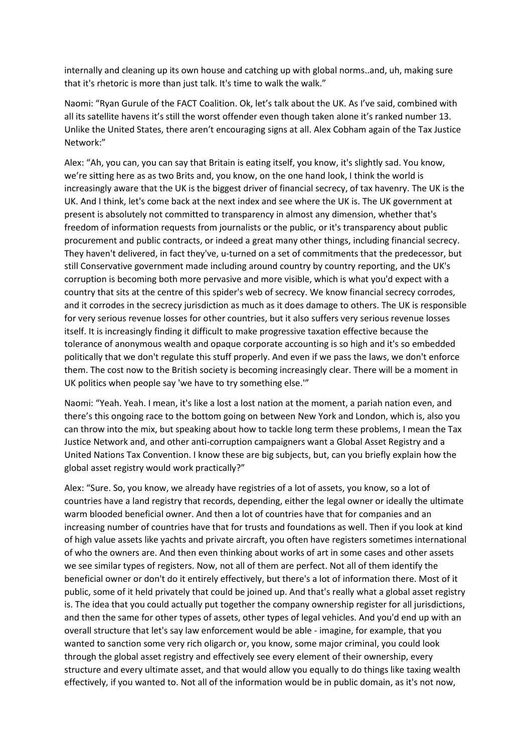internally and cleaning up its own house and catching up with global norms..and, uh, making sure that it's rhetoric is more than just talk. It's time to walk the walk."

Naomi: "Ryan Gurule of the FACT Coalition. Ok, let's talk about the UK. As I've said, combined with all its satellite havens it's still the worst offender even though taken alone it's ranked number 13. Unlike the United States, there aren't encouraging signs at all. Alex Cobham again of the Tax Justice Network:"

Alex: "Ah, you can, you can say that Britain is eating itself, you know, it's slightly sad. You know, we're sitting here as as two Brits and, you know, on the one hand look, I think the world is increasingly aware that the UK is the biggest driver of financial secrecy, of tax havenry. The UK is the UK. And I think, let's come back at the next index and see where the UK is. The UK government at present is absolutely not committed to transparency in almost any dimension, whether that's freedom of information requests from journalists or the public, or it's transparency about public procurement and public contracts, or indeed a great many other things, including financial secrecy. They haven't delivered, in fact they've, u-turned on a set of commitments that the predecessor, but still Conservative government made including around country by country reporting, and the UK's corruption is becoming both more pervasive and more visible, which is what you'd expect with a country that sits at the centre of this spider's web of secrecy. We know financial secrecy corrodes, and it corrodes in the secrecy jurisdiction as much as it does damage to others. The UK is responsible for very serious revenue losses for other countries, but it also suffers very serious revenue losses itself. It is increasingly finding it difficult to make progressive taxation effective because the tolerance of anonymous wealth and opaque corporate accounting is so high and it's so embedded politically that we don't regulate this stuff properly. And even if we pass the laws, we don't enforce them. The cost now to the British society is becoming increasingly clear. There will be a moment in UK politics when people say 'we have to try something else.'"

Naomi: "Yeah. Yeah. I mean, it's like a lost a lost nation at the moment, a pariah nation even, and there's this ongoing race to the bottom going on between New York and London, which is, also you can throw into the mix, but speaking about how to tackle long term these problems, I mean the Tax Justice Network and, and other anti-corruption campaigners want a Global Asset Registry and a United Nations Tax Convention. I know these are big subjects, but, can you briefly explain how the global asset registry would work practically?"

Alex: "Sure. So, you know, we already have registries of a lot of assets, you know, so a lot of countries have a land registry that records, depending, either the legal owner or ideally the ultimate warm blooded beneficial owner. And then a lot of countries have that for companies and an increasing number of countries have that for trusts and foundations as well. Then if you look at kind of high value assets like yachts and private aircraft, you often have registers sometimes international of who the owners are. And then even thinking about works of art in some cases and other assets we see similar types of registers. Now, not all of them are perfect. Not all of them identify the beneficial owner or don't do it entirely effectively, but there's a lot of information there. Most of it public, some of it held privately that could be joined up. And that's really what a global asset registry is. The idea that you could actually put together the company ownership register for all jurisdictions, and then the same for other types of assets, other types of legal vehicles. And you'd end up with an overall structure that let's say law enforcement would be able - imagine, for example, that you wanted to sanction some very rich oligarch or, you know, some major criminal, you could look through the global asset registry and effectively see every element of their ownership, every structure and every ultimate asset, and that would allow you equally to do things like taxing wealth effectively, if you wanted to. Not all of the information would be in public domain, as it's not now,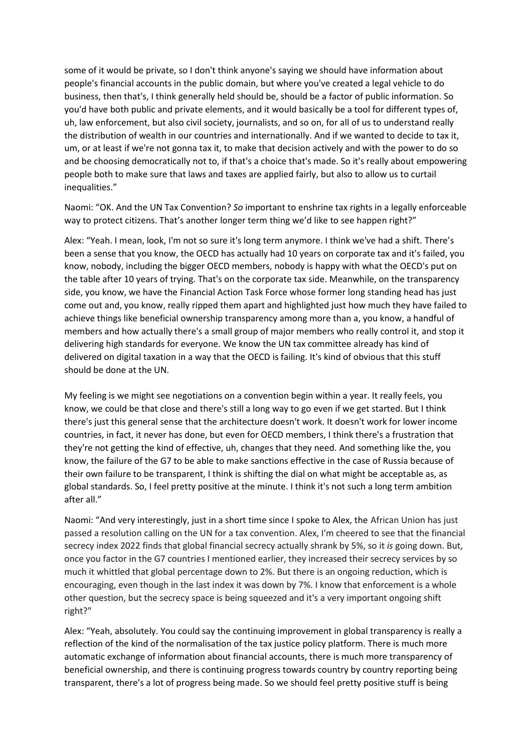some of it would be private, so I don't think anyone's saying we should have information about people's financial accounts in the public domain, but where you've created a legal vehicle to do business, then that's, I think generally held should be, should be a factor of public information. So you'd have both public and private elements, and it would basically be a tool for different types of, uh, law enforcement, but also civil society, journalists, and so on, for all of us to understand really the distribution of wealth in our countries and internationally. And if we wanted to decide to tax it, um, or at least if we're not gonna tax it, to make that decision actively and with the power to do so and be choosing democratically not to, if that's a choice that's made. So it's really about empowering people both to make sure that laws and taxes are applied fairly, but also to allow us to curtail inequalities."

Naomi: "OK. And the UN Tax Convention? *So* important to enshrine tax rights in a legally enforceable way to protect citizens. That's another longer term thing we'd like to see happen right?"

Alex: "Yeah. I mean, look, I'm not so sure it's long term anymore. I think we've had a shift. There's been a sense that you know, the OECD has actually had 10 years on corporate tax and it's failed, you know, nobody, including the bigger OECD members, nobody is happy with what the OECD's put on the table after 10 years of trying. That's on the corporate tax side. Meanwhile, on the transparency side, you know, we have the Financial Action Task Force whose former long standing head has just come out and, you know, really ripped them apart and highlighted just how much they have failed to achieve things like beneficial ownership transparency among more than a, you know, a handful of members and how actually there's a small group of major members who really control it, and stop it delivering high standards for everyone. We know the UN tax committee already has kind of delivered on digital taxation in a way that the OECD is failing. It's kind of obvious that this stuff should be done at the UN.

My feeling is we might see negotiations on a convention begin within a year. It really feels, you know, we could be that close and there's still a long way to go even if we get started. But I think there's just this general sense that the architecture doesn't work. It doesn't work for lower income countries, in fact, it never has done, but even for OECD members, I think there's a frustration that they're not getting the kind of effective, uh, changes that they need. And something like the, you know, the failure of the G7 to be able to make sanctions effective in the case of Russia because of their own failure to be transparent, I think is shifting the dial on what might be acceptable as, as global standards. So, I feel pretty positive at the minute. I think it's not such a long term ambition after all."

Naomi: "And very interestingly, just in a short time since I spoke to Alex, the African Union has just passed a resolution calling on the UN for a tax convention. Alex, I'm cheered to see that the financial secrecy index 2022 finds that global financial secrecy actually shrank by 5%, so it *is* going down. But, once you factor in the G7 countries I mentioned earlier, they increased their secrecy services by so much it whittled that global percentage down to 2%. But there is an ongoing reduction, which is encouraging, even though in the last index it was down by 7%. I know that enforcement is a whole other question, but the secrecy space is being squeezed and it's a very important ongoing shift right?"

Alex: "Yeah, absolutely. You could say the continuing improvement in global transparency is really a reflection of the kind of the normalisation of the tax justice policy platform. There is much more automatic exchange of information about financial accounts, there is much more transparency of beneficial ownership, and there is continuing progress towards country by country reporting being transparent, there's a lot of progress being made. So we should feel pretty positive stuff is being